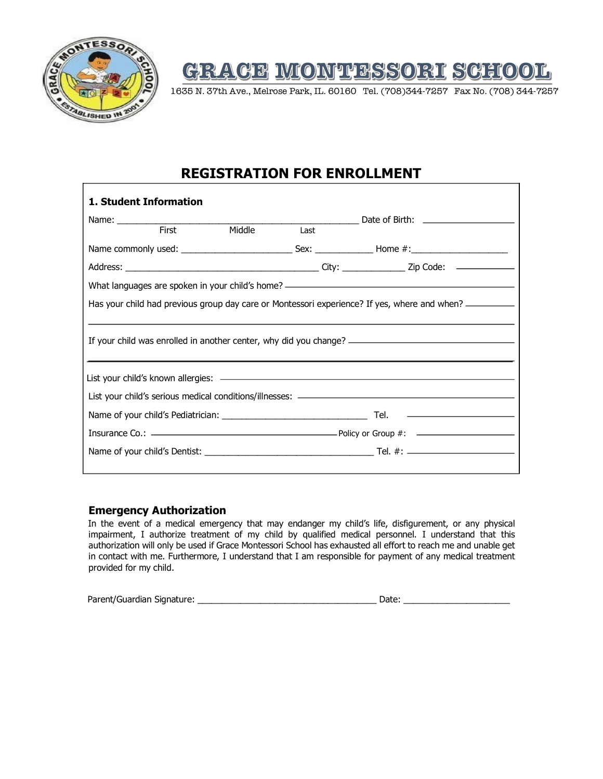

# GRACE MONTESSORI SCHOOL

1635 N. 37th Ave., Melrose Park, IL. 60160 Tel. (708)344-7257 Fax No. (708) 344-7257

## **REGISTRATION FOR ENROLLMENT**

| 1. Student Information |               |             |                                                                                                           |  |
|------------------------|---------------|-------------|-----------------------------------------------------------------------------------------------------------|--|
|                        |               |             |                                                                                                           |  |
| First                  | <b>Middle</b> | <b>Last</b> |                                                                                                           |  |
|                        |               |             |                                                                                                           |  |
|                        |               |             |                                                                                                           |  |
|                        |               |             | What languages are spoken in your child's home? ————————————————————————————————                          |  |
|                        |               |             | Has your child had previous group day care or Montessori experience? If yes, where and when? ____________ |  |
|                        |               |             | If your child was enrolled in another center, why did you change? __________________________________      |  |
|                        |               |             |                                                                                                           |  |
|                        |               |             |                                                                                                           |  |
|                        |               |             |                                                                                                           |  |
|                        |               |             |                                                                                                           |  |
|                        |               |             |                                                                                                           |  |
|                        |               |             |                                                                                                           |  |

#### **Emergency Authorization**

In the event of a medical emergency that may endanger my child's life, disfigurement, or any physical impairment, I authorize treatment of my child by qualified medical personnel. I understand that this authorization will only be used if Grace Montessori School has exhausted all effort to reach me and unable get in contact with me. Furthermore, I understand that I am responsible for payment of any medical treatment provided for my child.

| Parent/Guardian Signature: |  |  |
|----------------------------|--|--|
|                            |  |  |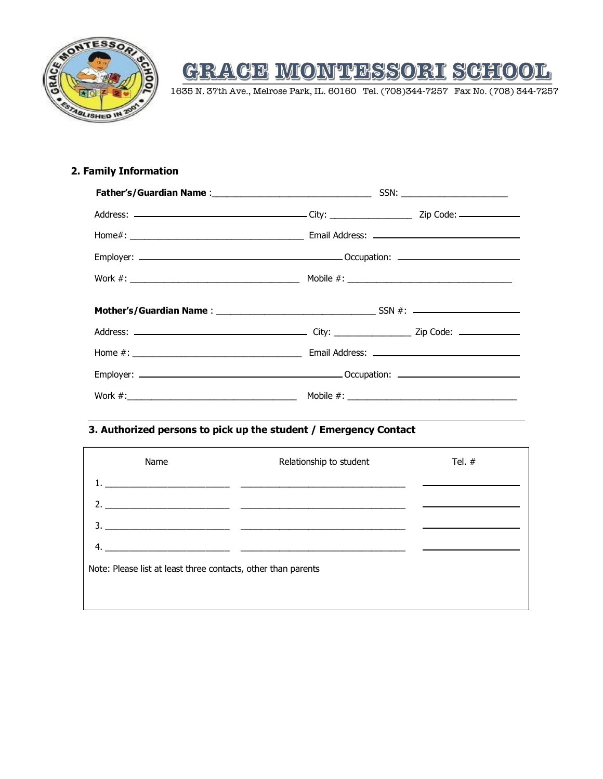

# GRAGE MONTESSORI SCHOOL

1635 N. 37th Ave., Melrose Park, IL. 60160 Tel. (708)344-7257 Fax No. (708) 344-7257

#### **2. Family Information**

### **3. Authorized persons to pick up the student / Emergency Contact**

| Name                                                          | Relationship to student                                                                                                   | Tel. $#$ |  |  |
|---------------------------------------------------------------|---------------------------------------------------------------------------------------------------------------------------|----------|--|--|
|                                                               | <u> 1980 - Johann Barbara, martin amerikan basar dan berasal dalam basar dalam basar dalam basar dalam basar dala</u>     |          |  |  |
| 2.                                                            |                                                                                                                           |          |  |  |
|                                                               | <u> 2000 - Jan James James Jan James James James James James James James James James James James James James James Ja</u> |          |  |  |
|                                                               |                                                                                                                           |          |  |  |
| Note: Please list at least three contacts, other than parents |                                                                                                                           |          |  |  |
|                                                               |                                                                                                                           |          |  |  |
|                                                               |                                                                                                                           |          |  |  |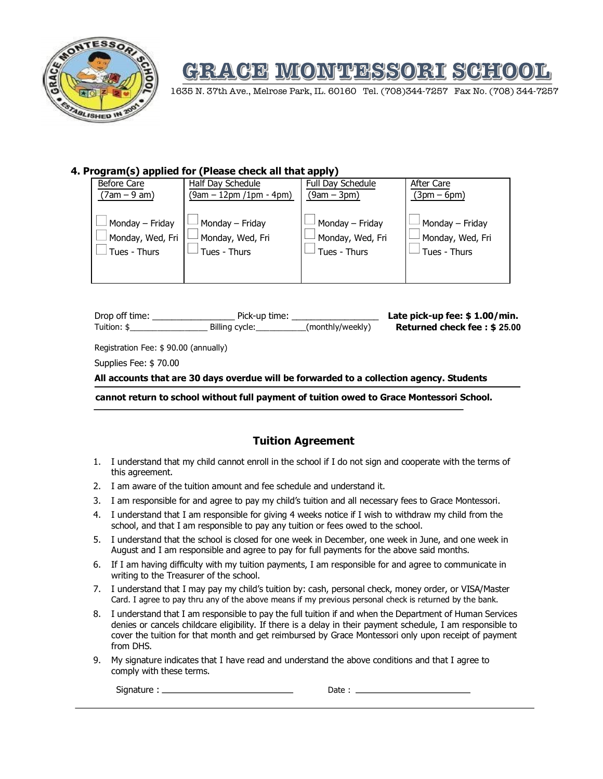

# GRACE MONTESSORI SCHOOL

1635 N. 37th Ave., Melrose Park, IL. 60160 Tel. (708)344-7257 Fax No. (708) 344-7257

#### **4. Program(s) applied for (Please check all that apply)**

| Before Care      | Half Day Schedule       | Full Day Schedule | After Care       |
|------------------|-------------------------|-------------------|------------------|
| $(7am - 9 am)$   | (9am – 12pm /1pm - 4pm) | $(9am - 3pm)$     | $(3pm-6pm)$      |
| Monday - Friday  | Monday - Friday         | Monday – Friday   | Monday - Friday  |
| Monday, Wed, Fri | Monday, Wed, Fri        | Monday, Wed, Fri  | Monday, Wed, Fri |
| Tues - Thurs     | Tues - Thurs            | Tues - Thurs      | Tues - Thurs     |

| Drop off time: | Pick-up time:  |                  | Late pick-up fee: $$1.00/min$ . |
|----------------|----------------|------------------|---------------------------------|
| Tuition: \$    | Billing cycle: | (monthly/weekly) | Returned check fee: \$25.00     |
|                |                |                  |                                 |

Registration Fee: \$ 90.00 (annually)

Supplies Fee: \$ 70.00

**All accounts that are 30 days overdue will be forwarded to a collection agency. Students** 

**cannot return to school without full payment of tuition owed to Grace Montessori School.**

#### **Tuition Agreement**

- 1. I understand that my child cannot enroll in the school if I do not sign and cooperate with the terms of this agreement.
- 2. I am aware of the tuition amount and fee schedule and understand it.
- 3. I am responsible for and agree to pay my child's tuition and all necessary fees to Grace Montessori.
- 4. I understand that I am responsible for giving 4 weeks notice if I wish to withdraw my child from the school, and that I am responsible to pay any tuition or fees owed to the school.
- 5. I understand that the school is closed for one week in December, one week in June, and one week in August and I am responsible and agree to pay for full payments for the above said months.
- 6. If I am having difficulty with my tuition payments, I am responsible for and agree to communicate in writing to the Treasurer of the school.
- 7. I understand that I may pay my child's tuition by: cash, personal check, money order, or VISA/Master Card. I agree to pay thru any of the above means if my previous personal check is returned by the bank.
- 8. I understand that I am responsible to pay the full tuition if and when the Department of Human Services denies or cancels childcare eligibility. If there is a delay in their payment schedule, I am responsible to cover the tuition for that month and get reimbursed by Grace Montessori only upon receipt of payment from DHS.
- 9. My signature indicates that I have read and understand the above conditions and that I agree to comply with these terms.

Signature : Date :